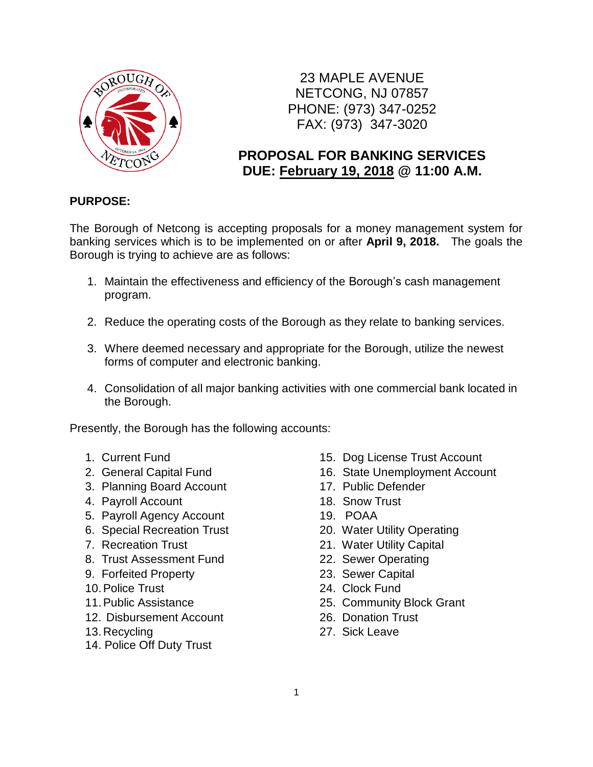

23 MAPLE AVENUE NETCONG, NJ 07857 PHONE: (973) 347-0252 FAX: (973) 347-3020

## **PROPOSAL FOR BANKING SERVICES DUE: February 19, 2018 @ 11:00 A.M.**

### **PURPOSE:**

The Borough of Netcong is accepting proposals for a money management system for banking services which is to be implemented on or after **April 9, 2018.** The goals the Borough is trying to achieve are as follows:

- 1. Maintain the effectiveness and efficiency of the Borough's cash management program.
- 2. Reduce the operating costs of the Borough as they relate to banking services.
- 3. Where deemed necessary and appropriate for the Borough, utilize the newest forms of computer and electronic banking.
- 4. Consolidation of all major banking activities with one commercial bank located in the Borough.

Presently, the Borough has the following accounts:

- 
- 
- 3. Planning Board Account 17. Public Defender
- 4. Payroll Account 18. Snow Trust
- 5. Payroll Agency Account 19. POAA
- 6. Special Recreation Trust 20. Water Utility Operating
- 
- 8. Trust Assessment Fund 22. Sewer Operating
- 9. Forfeited Property 23. Sewer Capital
- 
- 
- 12. Disbursement Account 26. Donation Trust
- 13.Recycling
- 14. Police Off Duty Trust
- 1. Current Fund 15. Dog License Trust Account
- 2. General Capital Fund 16. State Unemployment Account
	-
	-
	-
	-
- 7. Recreation Trust 21. Water Utility Capital
	-
	-
- 10. Police Trust 24. Clock Fund
- 11.Public Assistance 25. Community Block Grant
	-
	- 27. Sick Leave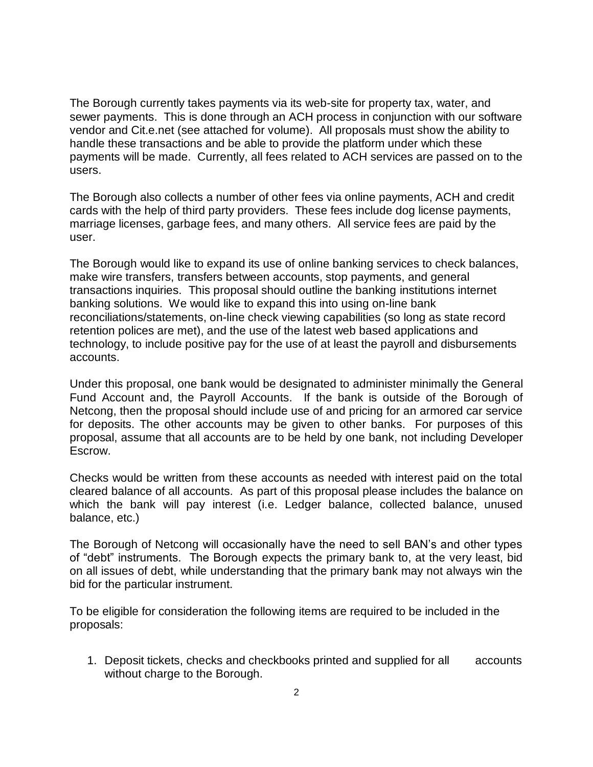The Borough currently takes payments via its web-site for property tax, water, and sewer payments. This is done through an ACH process in conjunction with our software vendor and Cit.e.net (see attached for volume). All proposals must show the ability to handle these transactions and be able to provide the platform under which these payments will be made. Currently, all fees related to ACH services are passed on to the users.

The Borough also collects a number of other fees via online payments, ACH and credit cards with the help of third party providers. These fees include dog license payments, marriage licenses, garbage fees, and many others. All service fees are paid by the user.

The Borough would like to expand its use of online banking services to check balances, make wire transfers, transfers between accounts, stop payments, and general transactions inquiries. This proposal should outline the banking institutions internet banking solutions. We would like to expand this into using on-line bank reconciliations/statements, on-line check viewing capabilities (so long as state record retention polices are met), and the use of the latest web based applications and technology, to include positive pay for the use of at least the payroll and disbursements accounts.

Under this proposal, one bank would be designated to administer minimally the General Fund Account and, the Payroll Accounts. If the bank is outside of the Borough of Netcong, then the proposal should include use of and pricing for an armored car service for deposits. The other accounts may be given to other banks. For purposes of this proposal, assume that all accounts are to be held by one bank, not including Developer Escrow.

Checks would be written from these accounts as needed with interest paid on the total cleared balance of all accounts. As part of this proposal please includes the balance on which the bank will pay interest (i.e. Ledger balance, collected balance, unused balance, etc.)

The Borough of Netcong will occasionally have the need to sell BAN's and other types of "debt" instruments. The Borough expects the primary bank to, at the very least, bid on all issues of debt, while understanding that the primary bank may not always win the bid for the particular instrument.

To be eligible for consideration the following items are required to be included in the proposals:

1. Deposit tickets, checks and checkbooks printed and supplied for all accounts without charge to the Borough.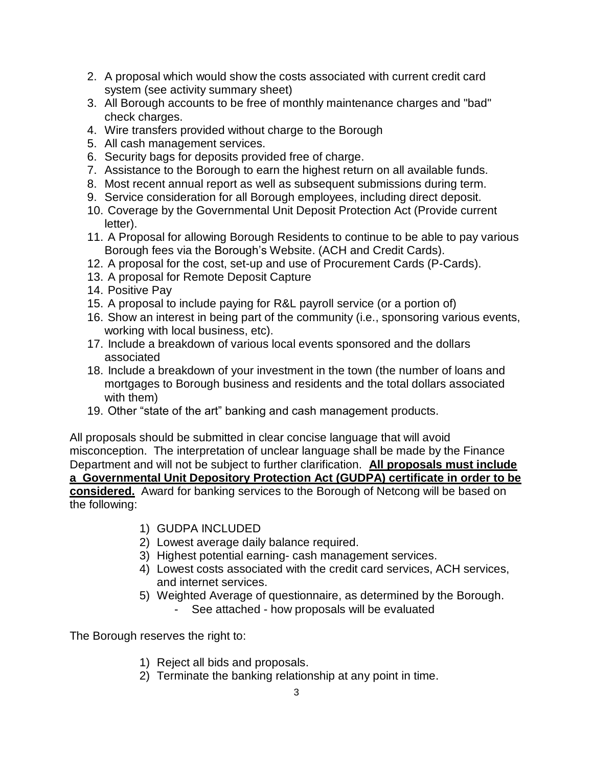- 2. A proposal which would show the costs associated with current credit card system (see activity summary sheet)
- 3. All Borough accounts to be free of monthly maintenance charges and "bad" check charges.
- 4. Wire transfers provided without charge to the Borough
- 5. All cash management services.
- 6. Security bags for deposits provided free of charge.
- 7. Assistance to the Borough to earn the highest return on all available funds.
- 8. Most recent annual report as well as subsequent submissions during term.
- 9. Service consideration for all Borough employees, including direct deposit.
- 10. Coverage by the Governmental Unit Deposit Protection Act (Provide current letter).
- 11. A Proposal for allowing Borough Residents to continue to be able to pay various Borough fees via the Borough's Website. (ACH and Credit Cards).
- 12. A proposal for the cost, set-up and use of Procurement Cards (P-Cards).
- 13. A proposal for Remote Deposit Capture
- 14. Positive Pay
- 15. A proposal to include paying for R&L payroll service (or a portion of)
- 16. Show an interest in being part of the community (i.e., sponsoring various events, working with local business, etc).
- 17. Include a breakdown of various local events sponsored and the dollars associated
- 18. Include a breakdown of your investment in the town (the number of loans and mortgages to Borough business and residents and the total dollars associated with them)
- 19. Other "state of the art" banking and cash management products.

All proposals should be submitted in clear concise language that will avoid misconception. The interpretation of unclear language shall be made by the Finance Department and will not be subject to further clarification. **All proposals must include a Governmental Unit Depository Protection Act (GUDPA) certificate in order to be considered.** Award for banking services to the Borough of Netcong will be based on the following:

- 1) GUDPA INCLUDED
- 2) Lowest average daily balance required.
- 3) Highest potential earning- cash management services.
- 4) Lowest costs associated with the credit card services, ACH services, and internet services.
- 5) Weighted Average of questionnaire, as determined by the Borough.
	- See attached how proposals will be evaluated

The Borough reserves the right to:

- 1) Reject all bids and proposals.
- 2) Terminate the banking relationship at any point in time.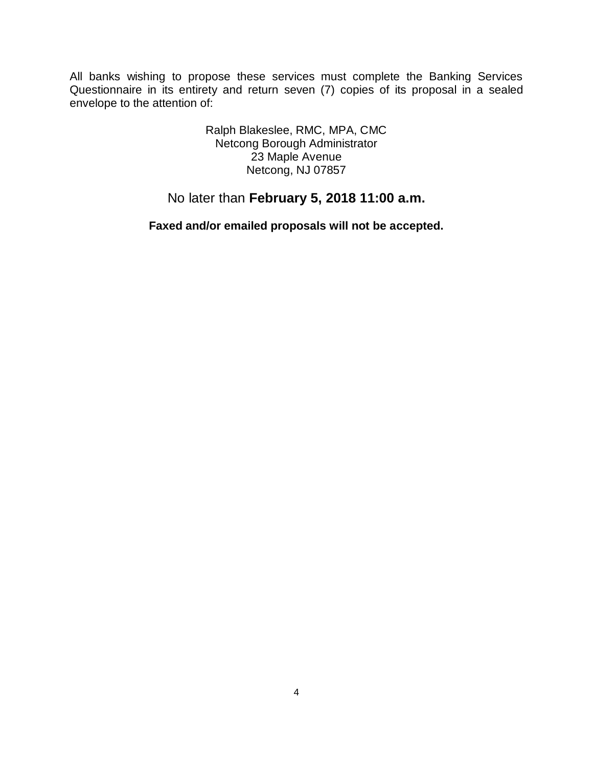All banks wishing to propose these services must complete the Banking Services Questionnaire in its entirety and return seven (7) copies of its proposal in a sealed envelope to the attention of:

> Ralph Blakeslee, RMC, MPA, CMC Netcong Borough Administrator 23 Maple Avenue Netcong, NJ 07857

# No later than **February 5, 2018 11:00 a.m.**

**Faxed and/or emailed proposals will not be accepted.**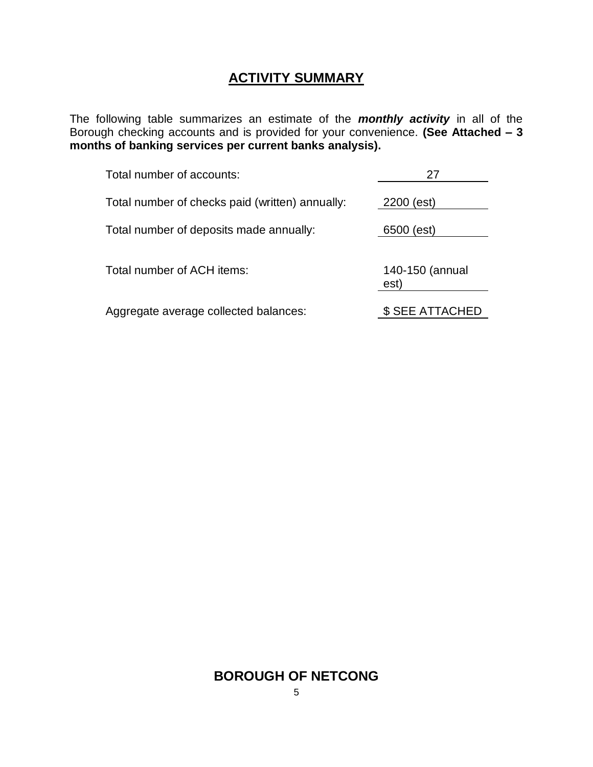# **ACTIVITY SUMMARY**

The following table summarizes an estimate of the *monthly activity* in all of the Borough checking accounts and is provided for your convenience. **(See Attached – 3 months of banking services per current banks analysis).** 

| Total number of accounts:                       | 27                      |
|-------------------------------------------------|-------------------------|
| Total number of checks paid (written) annually: | 2200 (est)              |
| Total number of deposits made annually:         | 6500 (est)              |
| Total number of ACH items:                      | 140-150 (annual<br>est) |
| Aggregate average collected balances:           | \$ SEE ATTACHED         |

### **BOROUGH OF NETCONG**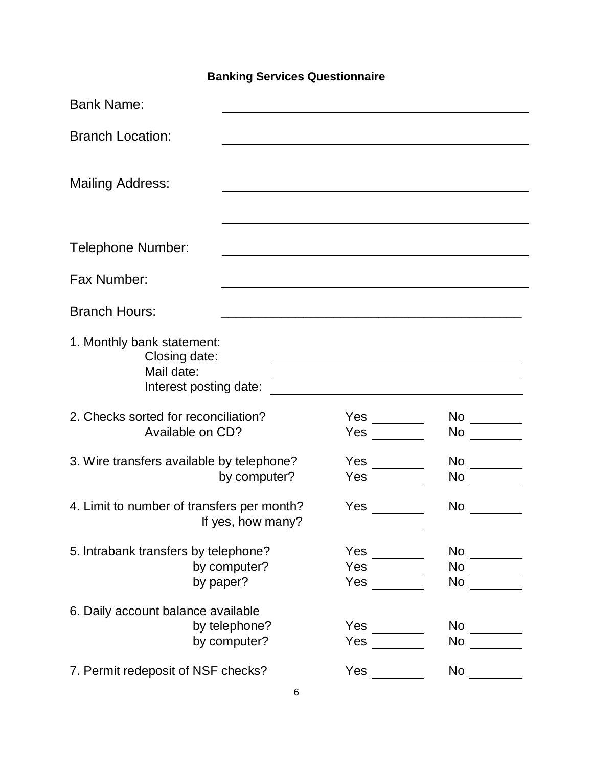# **Banking Services Questionnaire**

| <b>Bank Name:</b>                                                                   |                               |                                                            |                                                                                                                                                                                                                                |
|-------------------------------------------------------------------------------------|-------------------------------|------------------------------------------------------------|--------------------------------------------------------------------------------------------------------------------------------------------------------------------------------------------------------------------------------|
| <b>Branch Location:</b>                                                             |                               |                                                            |                                                                                                                                                                                                                                |
| <b>Mailing Address:</b>                                                             |                               |                                                            |                                                                                                                                                                                                                                |
| <b>Telephone Number:</b>                                                            |                               |                                                            |                                                                                                                                                                                                                                |
| Fax Number:                                                                         |                               |                                                            |                                                                                                                                                                                                                                |
| <b>Branch Hours:</b>                                                                |                               |                                                            |                                                                                                                                                                                                                                |
| 1. Monthly bank statement:<br>Closing date:<br>Mail date:<br>Interest posting date: |                               | <u> 1989 - Johann Barn, amerikansk politiker (d. 1989)</u> |                                                                                                                                                                                                                                |
| 2. Checks sorted for reconciliation?<br>Available on CD?                            |                               | $Yes \t —$<br>Yes                                          | No provide a provide a provide a provide a provide a provide a provide a provide a provide a provide a provide a provide a provide a provide a provide a provide a provide a provide a provide a provide a provide a provide a |
| 3. Wire transfers available by telephone?                                           | by computer?                  | Yes                                                        | No                                                                                                                                                                                                                             |
| 4. Limit to number of transfers per month?                                          | If yes, how many?             | Yes                                                        | <b>No</b>                                                                                                                                                                                                                      |
| 5. Intrabank transfers by telephone?<br>by paper?                                   | by computer?                  | Yes<br>Yes                                                 | $No \qquad \qquad \qquad \qquad$<br>$No \ \_$<br>No                                                                                                                                                                            |
| 6. Daily account balance available                                                  | by telephone?<br>by computer? | Yes<br>Yes                                                 | $\mathsf{No}$<br>No                                                                                                                                                                                                            |
| 7. Permit redeposit of NSF checks?                                                  |                               | Yes                                                        | <b>No</b>                                                                                                                                                                                                                      |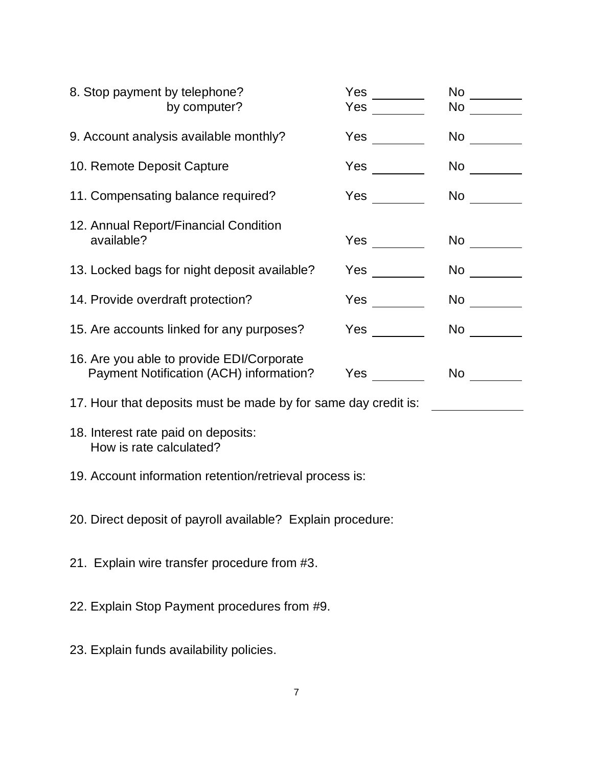| 8. Stop payment by telephone?                                  | by computer?                                                                         | Yes $\qquad \qquad \qquad$<br>Yes | No l<br>No                                                                                                                                                                                                                     |
|----------------------------------------------------------------|--------------------------------------------------------------------------------------|-----------------------------------|--------------------------------------------------------------------------------------------------------------------------------------------------------------------------------------------------------------------------------|
|                                                                | 9. Account analysis available monthly?                                               | <b>Yes</b>                        | <b>No</b>                                                                                                                                                                                                                      |
| 10. Remote Deposit Capture                                     |                                                                                      | Yes                               | No provide a provide a provide a provide a provide a provide a provide a provide a provide a provide a provide a provide a provide a provide a provide a provide a provide a provide a provide a provide a provide a provide a |
|                                                                | 11. Compensating balance required?                                                   |                                   | No and the second second second second second second second second second second second second second second second second second second second second second second second second second second second second second second s |
| available?                                                     | 12. Annual Report/Financial Condition                                                |                                   | No and the set of the set of the set of the set of the set of the set of the set of the set of the set of the                                                                                                                  |
|                                                                | 13. Locked bags for night deposit available?                                         | Yes                               | No and the set of the set of the set of the set of the set of the set of the set of the set of the set of the                                                                                                                  |
| 14. Provide overdraft protection?                              |                                                                                      | Yes                               | No l                                                                                                                                                                                                                           |
|                                                                | 15. Are accounts linked for any purposes?                                            | Yes                               | No                                                                                                                                                                                                                             |
|                                                                | 16. Are you able to provide EDI/Corporate<br>Payment Notification (ACH) information? | Yes                               | No l                                                                                                                                                                                                                           |
|                                                                | 17. Hour that deposits must be made by for same day credit is:                       |                                   |                                                                                                                                                                                                                                |
| 18. Interest rate paid on deposits:<br>How is rate calculated? |                                                                                      |                                   |                                                                                                                                                                                                                                |
|                                                                | 19. Account information retention/retrieval process is:                              |                                   |                                                                                                                                                                                                                                |
| 20. Direct deposit of payroll available? Explain procedure:    |                                                                                      |                                   |                                                                                                                                                                                                                                |
| 21. Explain wire transfer procedure from #3.                   |                                                                                      |                                   |                                                                                                                                                                                                                                |
|                                                                | 22. Explain Stop Payment procedures from #9.                                         |                                   |                                                                                                                                                                                                                                |

23. Explain funds availability policies.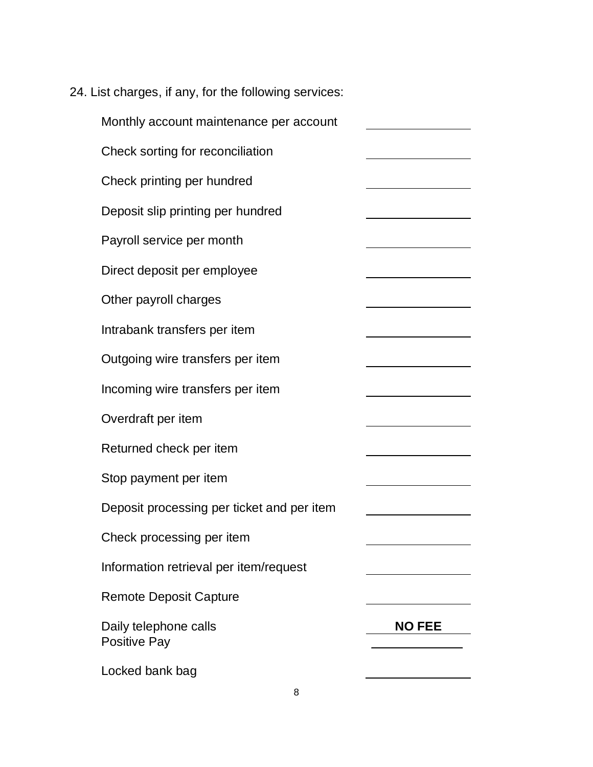| 24. List charges, if any, for the following services: |                                                         |  |
|-------------------------------------------------------|---------------------------------------------------------|--|
| Monthly account maintenance per account               |                                                         |  |
| Check sorting for reconciliation                      | <u> 1989 - Johann Barn, mars ann an t-Amhair an t-A</u> |  |
| Check printing per hundred                            |                                                         |  |
| Deposit slip printing per hundred                     |                                                         |  |
| Payroll service per month                             |                                                         |  |
| Direct deposit per employee                           |                                                         |  |
| Other payroll charges                                 |                                                         |  |
| Intrabank transfers per item                          |                                                         |  |
| Outgoing wire transfers per item                      |                                                         |  |
| Incoming wire transfers per item                      |                                                         |  |
| Overdraft per item                                    |                                                         |  |
| Returned check per item                               |                                                         |  |
| Stop payment per item                                 |                                                         |  |
| Deposit processing per ticket and per item            |                                                         |  |
| Check processing per item                             |                                                         |  |
| Information retrieval per item/request                |                                                         |  |
| <b>Remote Deposit Capture</b>                         |                                                         |  |
| Daily telephone calls<br>Positive Pay                 | <b>NO FEE</b>                                           |  |
| Locked bank bag                                       |                                                         |  |

8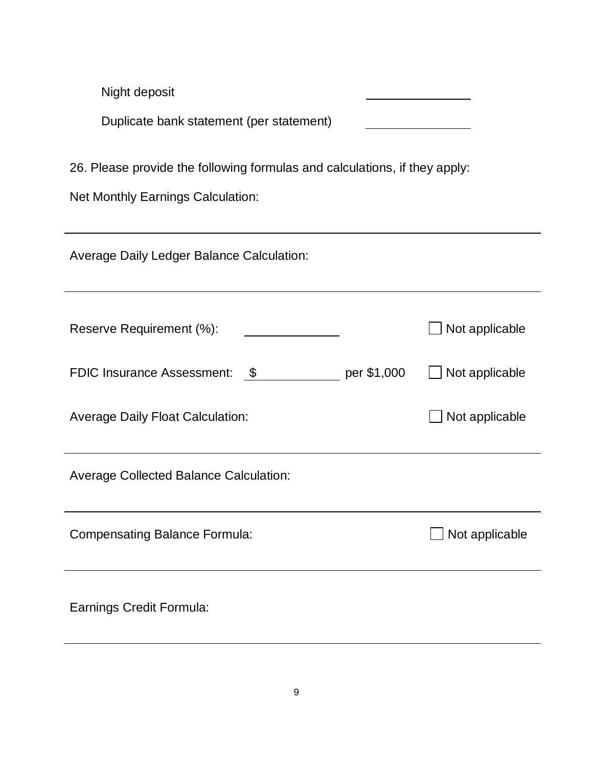| Night deposit                                                              |             |                       |  |
|----------------------------------------------------------------------------|-------------|-----------------------|--|
| Duplicate bank statement (per statement)                                   |             |                       |  |
| 26. Please provide the following formulas and calculations, if they apply: |             |                       |  |
| <b>Net Monthly Earnings Calculation:</b>                                   |             |                       |  |
| <b>Average Daily Ledger Balance Calculation:</b>                           |             |                       |  |
| Reserve Requirement (%):                                                   |             | Not applicable        |  |
| <b>FDIC Insurance Assessment:</b><br>- \$                                  | per \$1,000 | ∫ Not applicable      |  |
| <b>Average Daily Float Calculation:</b>                                    |             | Not applicable        |  |
| <b>Average Collected Balance Calculation:</b>                              |             |                       |  |
| <b>Compensating Balance Formula:</b>                                       |             | $\Box$ Not applicable |  |
| Earnings Credit Formula:                                                   |             |                       |  |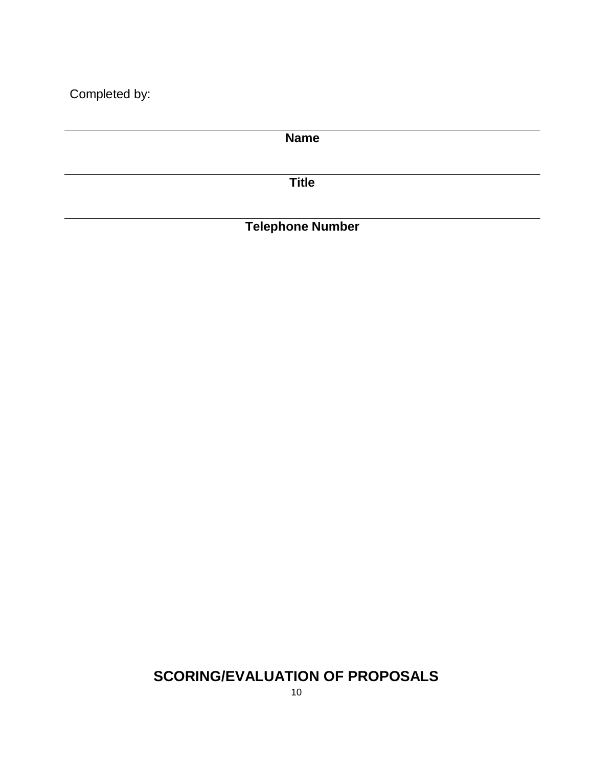Completed by:

**Name Title**

**Telephone Number**

# **SCORING/EVALUATION OF PROPOSALS**